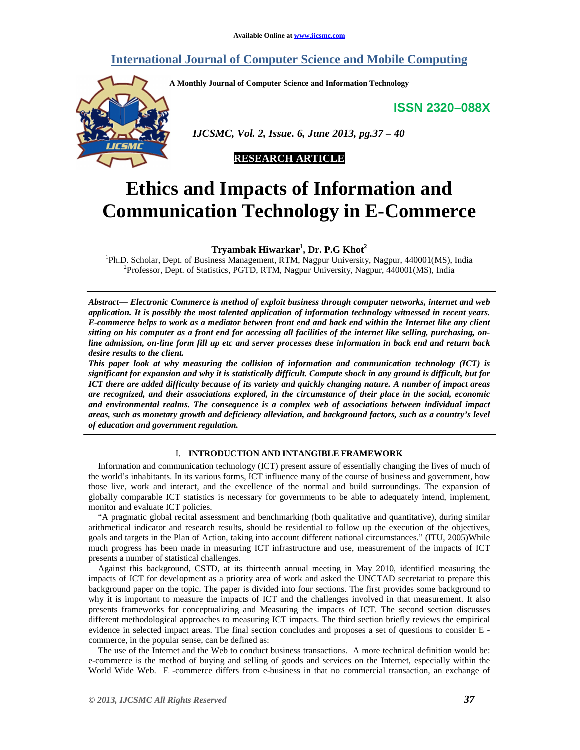# **International Journal of Computer Science and Mobile Computing**

**A Monthly Journal of Computer Science and Information Technology** 

**ISSN 2320–088X**



 *IJCSMC, Vol. 2, Issue. 6, June 2013, pg.37 – 40* 

# **RESEARCH ARTICLE**

# **Ethics and Impacts of Information and Communication Technology in E-Commerce**

**Tryambak Hiwarkar<sup>1</sup> , Dr. P.G Khot<sup>2</sup>**

<sup>1</sup>Ph.D. Scholar, Dept. of Business Management, RTM, Nagpur University, Nagpur, 440001(MS), India <sup>2</sup>Professor, Dept. of Statistics, PGTD, RTM, Nagpur University, Nagpur, 440001(MS), India

*Abstract— Electronic Commerce is method of exploit business through computer networks, internet and web application. It is possibly the most talented application of information technology witnessed in recent years. E-commerce helps to work as a mediator between front end and back end within the Internet like any client sitting on his computer as a front end for accessing all facilities of the internet like selling, purchasing, online admission, on-line form fill up etc and server processes these information in back end and return back desire results to the client.* 

*This paper look at why measuring the collision of information and communication technology (ICT) is significant for expansion and why it is statistically difficult. Compute shock in any ground is difficult, but for ICT there are added difficulty because of its variety and quickly changing nature. A number of impact areas are recognized, and their associations explored, in the circumstance of their place in the social, economic and environmental realms. The consequence is a complex web of associations between individual impact areas, such as monetary growth and deficiency alleviation, and background factors, such as a country's level of education and government regulation.* 

# I. **INTRODUCTION AND INTANGIBLE FRAMEWORK**

Information and communication technology (ICT) present assure of essentially changing the lives of much of the world's inhabitants. In its various forms, ICT influence many of the course of business and government, how those live, work and interact, and the excellence of the normal and build surroundings. The expansion of globally comparable ICT statistics is necessary for governments to be able to adequately intend, implement, monitor and evaluate ICT policies.

"A pragmatic global recital assessment and benchmarking (both qualitative and quantitative), during similar arithmetical indicator and research results, should be residential to follow up the execution of the objectives, goals and targets in the Plan of Action, taking into account different national circumstances." (ITU, 2005)While much progress has been made in measuring ICT infrastructure and use, measurement of the impacts of ICT presents a number of statistical challenges.

Against this background, CSTD, at its thirteenth annual meeting in May 2010, identified measuring the impacts of ICT for development as a priority area of work and asked the UNCTAD secretariat to prepare this background paper on the topic. The paper is divided into four sections. The first provides some background to why it is important to measure the impacts of ICT and the challenges involved in that measurement. It also presents frameworks for conceptualizing and Measuring the impacts of ICT. The second section discusses different methodological approaches to measuring ICT impacts. The third section briefly reviews the empirical evidence in selected impact areas. The final section concludes and proposes a set of questions to consider E commerce, in the popular sense, can be defined as:

The use of the Internet and the Web to conduct business transactions. A more technical definition would be: e-commerce is the method of buying and selling of goods and services on the Internet, especially within the World Wide Web. E -commerce differs from e-business in that no commercial transaction, an exchange of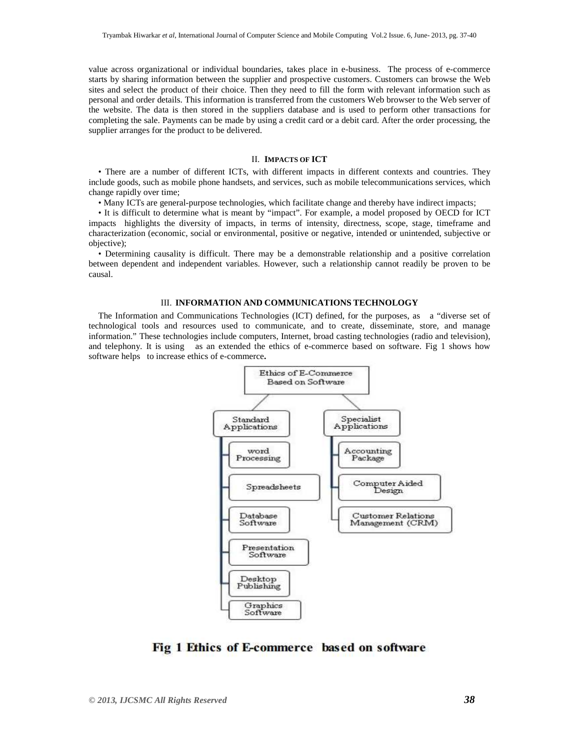value across organizational or individual boundaries, takes place in e-business. The process of e-commerce starts by sharing information between the supplier and prospective customers. Customers can browse the Web sites and select the product of their choice. Then they need to fill the form with relevant information such as personal and order details. This information is transferred from the customers Web browser to the Web server of the website. The data is then stored in the suppliers database and is used to perform other transactions for completing the sale. Payments can be made by using a credit card or a debit card. After the order processing, the supplier arranges for the product to be delivered.

#### II. **IMPACTS OF ICT**

• There are a number of different ICTs, with different impacts in different contexts and countries. They include goods, such as mobile phone handsets, and services, such as mobile telecommunications services, which change rapidly over time;

• Many ICTs are general-purpose technologies, which facilitate change and thereby have indirect impacts;

• It is difficult to determine what is meant by "impact". For example, a model proposed by OECD for ICT impacts highlights the diversity of impacts, in terms of intensity, directness, scope, stage, timeframe and characterization (economic, social or environmental, positive or negative, intended or unintended, subjective or objective);

• Determining causality is difficult. There may be a demonstrable relationship and a positive correlation between dependent and independent variables. However, such a relationship cannot readily be proven to be causal.

## III. **INFORMATION AND COMMUNICATIONS TECHNOLOGY**

The Information and Communications Technologies (ICT) defined, for the purposes, as a "diverse set of technological tools and resources used to communicate, and to create, disseminate, store, and manage information." These technologies include computers, Internet, broad casting technologies (radio and television), and telephony. It is using as an extended the ethics of e-commerce based on software. Fig 1 shows how software helps to increase ethics of e-commerce**.** 



Fig 1 Ethics of E-commerce based on software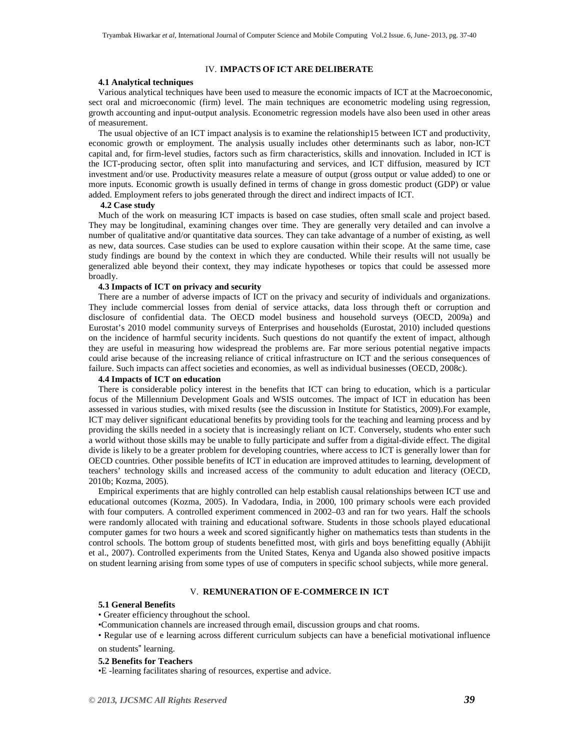#### IV. **IMPACTS OF ICT ARE DELIBERATE**

# **4.1 Analytical techniques**

Various analytical techniques have been used to measure the economic impacts of ICT at the Macroeconomic, sect oral and microeconomic (firm) level. The main techniques are econometric modeling using regression, growth accounting and input-output analysis. Econometric regression models have also been used in other areas of measurement.

The usual objective of an ICT impact analysis is to examine the relationship15 between ICT and productivity, economic growth or employment. The analysis usually includes other determinants such as labor, non-ICT capital and, for firm-level studies, factors such as firm characteristics, skills and innovation. Included in ICT is the ICT-producing sector, often split into manufacturing and services, and ICT diffusion, measured by ICT investment and/or use. Productivity measures relate a measure of output (gross output or value added) to one or more inputs. Economic growth is usually defined in terms of change in gross domestic product (GDP) or value added. Employment refers to jobs generated through the direct and indirect impacts of ICT.

# **4.2 Case study**

Much of the work on measuring ICT impacts is based on case studies, often small scale and project based. They may be longitudinal, examining changes over time. They are generally very detailed and can involve a number of qualitative and/or quantitative data sources. They can take advantage of a number of existing, as well as new, data sources. Case studies can be used to explore causation within their scope. At the same time, case study findings are bound by the context in which they are conducted. While their results will not usually be generalized able beyond their context, they may indicate hypotheses or topics that could be assessed more broadly.

# **4.3 Impacts of ICT on privacy and security**

There are a number of adverse impacts of ICT on the privacy and security of individuals and organizations. They include commercial losses from denial of service attacks, data loss through theft or corruption and disclosure of confidential data. The OECD model business and household surveys (OECD, 2009a) and Eurostat's 2010 model community surveys of Enterprises and households (Eurostat, 2010) included questions on the incidence of harmful security incidents. Such questions do not quantify the extent of impact, although they are useful in measuring how widespread the problems are. Far more serious potential negative impacts could arise because of the increasing reliance of critical infrastructure on ICT and the serious consequences of failure. Such impacts can affect societies and economies, as well as individual businesses (OECD, 2008c).

#### **4.4 Impacts of ICT on education**

There is considerable policy interest in the benefits that ICT can bring to education, which is a particular focus of the Millennium Development Goals and WSIS outcomes. The impact of ICT in education has been assessed in various studies, with mixed results (see the discussion in Institute for Statistics, 2009).For example, ICT may deliver significant educational benefits by providing tools for the teaching and learning process and by providing the skills needed in a society that is increasingly reliant on ICT. Conversely, students who enter such a world without those skills may be unable to fully participate and suffer from a digital-divide effect. The digital divide is likely to be a greater problem for developing countries, where access to ICT is generally lower than for OECD countries. Other possible benefits of ICT in education are improved attitudes to learning, development of teachers' technology skills and increased access of the community to adult education and literacy (OECD, 2010b; Kozma, 2005).

Empirical experiments that are highly controlled can help establish causal relationships between ICT use and educational outcomes (Kozma, 2005). In Vadodara, India, in 2000, 100 primary schools were each provided with four computers. A controlled experiment commenced in 2002–03 and ran for two years. Half the schools were randomly allocated with training and educational software. Students in those schools played educational computer games for two hours a week and scored significantly higher on mathematics tests than students in the control schools. The bottom group of students benefitted most, with girls and boys benefitting equally (Abhijit et al., 2007). Controlled experiments from the United States, Kenya and Uganda also showed positive impacts on student learning arising from some types of use of computers in specific school subjects, while more general.

# V. **REMUNERATION OF E-COMMERCE IN ICT**

#### **5.1 General Benefits**

## • Greater efficiency throughout the school.

•Communication channels are increased through email, discussion groups and chat rooms.

• Regular use of e learning across different curriculum subjects can have a beneficial motivational influence on students" learning.

#### **5.2 Benefits for Teachers**

•E -learning facilitates sharing of resources, expertise and advice.